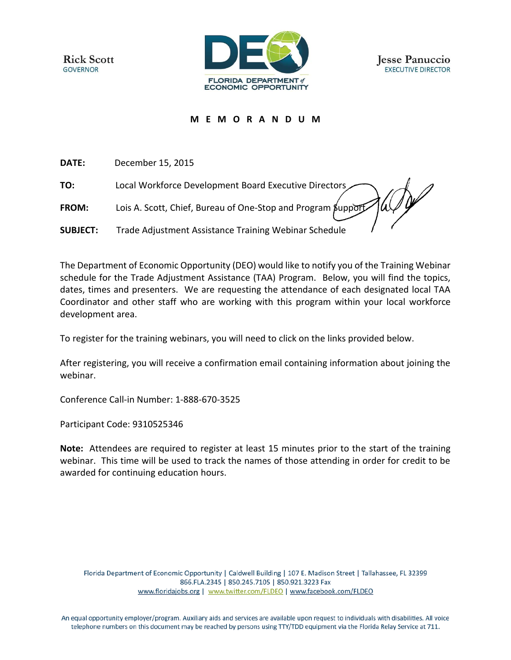**Rick Scott GOVERNOR** 





## **M E M O R A N D U M**

**DATE:** December 15, 2015

**TO:** Local Workforce Development Board Executive Directors

**FROM:** Lois A. Scott, Chief, Bureau of One-Stop and Program Support

**SUBJECT:** Trade Adjustment Assistance Training Webinar Schedule

The Department of Economic Opportunity (DEO) would like to notify you of the Training Webinar schedule for the Trade Adjustment Assistance (TAA) Program. Below, you will find the topics, dates, times and presenters. We are requesting the attendance of each designated local TAA Coordinator and other staff who are working with this program within your local workforce development area.

To register for the training webinars, you will need to click on the links provided below.

After registering, you will receive a confirmation email containing information about joining the webinar.

Conference Call-in Number: 1-888-670-3525

Participant Code: 9310525346

**Note:** Attendees are required to register at least 15 minutes prior to the start of the training webinar. This time will be used to track the names of those attending in order for credit to be awarded for continuing education hours.

Florida Department of Economic Opportunity | Caldwell Building | 107 E. Madison Street | Tallahassee, FL 32399 866.FLA.2345 | 850.245.7105 | 850.921.3223 Fax www.floridajobs.org | www.twitter.com/FLDEO | www.facebook.com/FLDEO

An equal opportunity employer/program. Auxiliary aids and services are available upon request to individuals with disabilities. All voice telephone numbers on this document may be reached by persons using TTY/TDD equipment via the Florida Relay Service at 711.